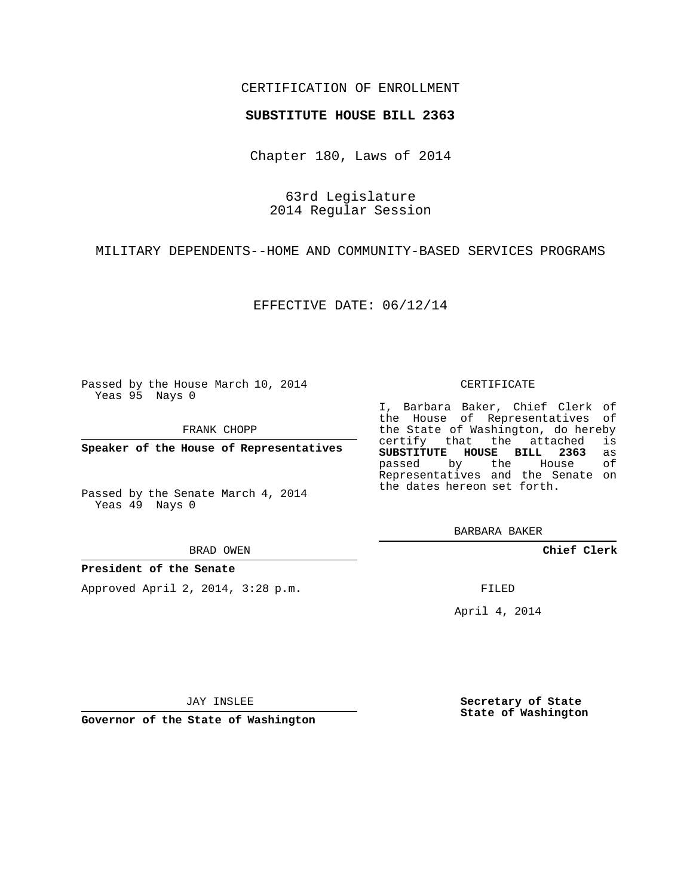# CERTIFICATION OF ENROLLMENT

## **SUBSTITUTE HOUSE BILL 2363**

Chapter 180, Laws of 2014

63rd Legislature 2014 Regular Session

MILITARY DEPENDENTS--HOME AND COMMUNITY-BASED SERVICES PROGRAMS

EFFECTIVE DATE: 06/12/14

Passed by the House March 10, 2014 Yeas 95 Nays 0

FRANK CHOPP

**Speaker of the House of Representatives**

Passed by the Senate March 4, 2014 Yeas 49 Nays 0

BRAD OWEN

## **President of the Senate**

Approved April 2, 2014, 3:28 p.m.

#### CERTIFICATE

I, Barbara Baker, Chief Clerk of the House of Representatives of the State of Washington, do hereby<br>certify that the attached is certify that the attached **SUBSTITUTE HOUSE BILL 2363** as passed by the Representatives and the Senate on the dates hereon set forth.

BARBARA BAKER

**Chief Clerk**

FILED

April 4, 2014

JAY INSLEE

**Governor of the State of Washington**

**Secretary of State State of Washington**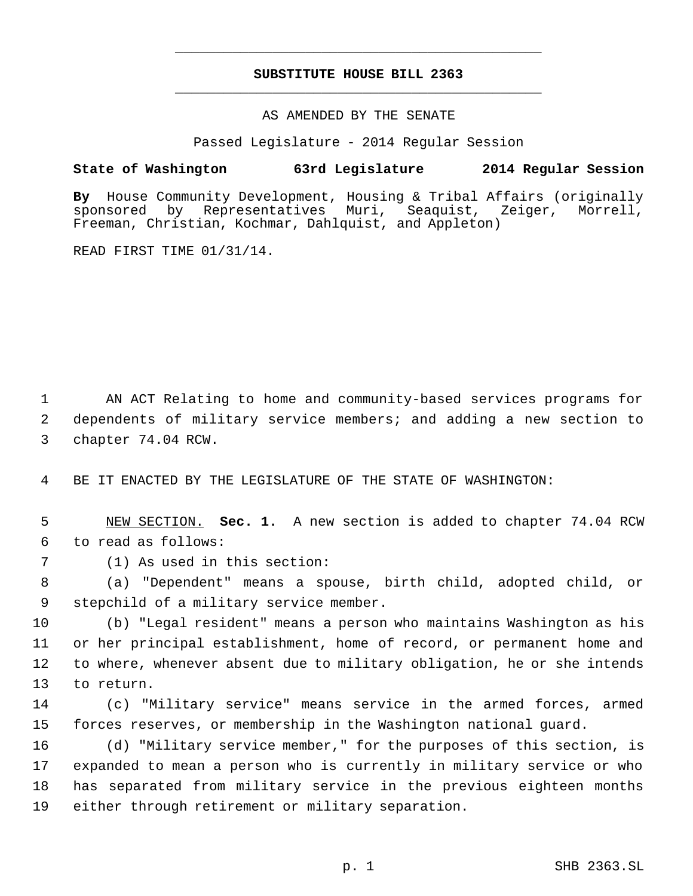# **SUBSTITUTE HOUSE BILL 2363** \_\_\_\_\_\_\_\_\_\_\_\_\_\_\_\_\_\_\_\_\_\_\_\_\_\_\_\_\_\_\_\_\_\_\_\_\_\_\_\_\_\_\_\_\_

\_\_\_\_\_\_\_\_\_\_\_\_\_\_\_\_\_\_\_\_\_\_\_\_\_\_\_\_\_\_\_\_\_\_\_\_\_\_\_\_\_\_\_\_\_

AS AMENDED BY THE SENATE

Passed Legislature - 2014 Regular Session

## **State of Washington 63rd Legislature 2014 Regular Session**

By House Community Development, Housing & Tribal Affairs (originally sponsored by Representatives Muri, Seaguist, Zeiger, Morrell, sponsored by Representatives Muri, Seaquist, Zeiger, Morrell, Freeman, Christian, Kochmar, Dahlquist, and Appleton)

READ FIRST TIME 01/31/14.

 AN ACT Relating to home and community-based services programs for dependents of military service members; and adding a new section to chapter 74.04 RCW.

BE IT ENACTED BY THE LEGISLATURE OF THE STATE OF WASHINGTON:

 NEW SECTION. **Sec. 1.** A new section is added to chapter 74.04 RCW to read as follows:

(1) As used in this section:

 (a) "Dependent" means a spouse, birth child, adopted child, or stepchild of a military service member.

 (b) "Legal resident" means a person who maintains Washington as his or her principal establishment, home of record, or permanent home and to where, whenever absent due to military obligation, he or she intends to return.

 (c) "Military service" means service in the armed forces, armed forces reserves, or membership in the Washington national guard.

 (d) "Military service member," for the purposes of this section, is expanded to mean a person who is currently in military service or who has separated from military service in the previous eighteen months either through retirement or military separation.